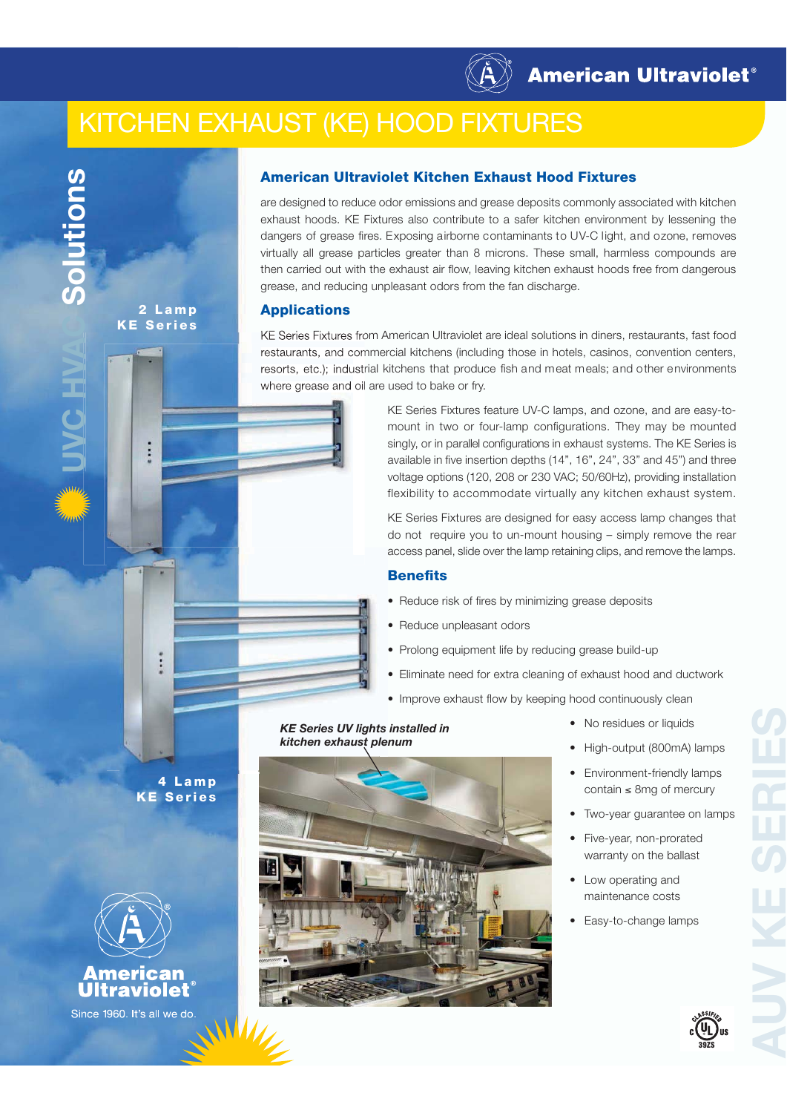

# KITCHEN EXHAUST (KE) HOOD FIXTURES



**THIONG** 

**2 Lamp KE Series**

# **American Ultraviolet Kitchen Exhaust Hood Fixtures**

are designed to reduce odor emissions and grease deposits commonly associated with kitchen exhaust hoods. KE Fixtures also contribute to a safer kitchen environment by lessening the dangers of grease fires. Exposing airborne contaminants to UV-C light, and ozone, removes virtually all grease particles greater than 8 microns. These small, harmless compounds are then carried out with the exhaust air flow, leaving kitchen exhaust hoods free from dangerous grease, and reducing unpleasant odors from the fan discharge.

## **Applications**

KE Series Fixtures from American Ultraviolet are ideal solutions in diners, restaurants, fast food restaurants, and commercial kitchens (including those in hotels, casinos, convention centers, resorts, etc.); industrial kitchens that produce fish and meat meals; and other environments where grease and oil are used to bake or fry.

> KE Series Fixtures feature UV-C lamps, and ozone, and are easy-tomount in two or four-lamp configurations. They may be mounted singly, or in parallel configurations in exhaust systems. The KE Series is available in five insertion depths (14", 16", 24", 33" and 45") and three voltage options (120, 208 or 230 VAC; 50/60Hz), providing installation flexibility to accommodate virtually any kitchen exhaust system.

> KE Series Fixtures are designed for easy access lamp changes that do not require you to un-mount housing – simply remove the rear access panel, slide over the lamp retaining clips, and remove the lamps.

## **Benefits**

- Reduce risk of fires by minimizing grease deposits
- Reduce unpleasant odors
- Prolong equipment life by reducing grease build-up
- Eliminate need for extra cleaning of exhaust hood and ductwork
- Improve exhaust flow by keeping hood continuously clean

#### *KE Series UV lights installed in kitchen exhaust plenum*

- No residues or liquids
- High-output (800mA) lamps
- Environment-friendly lamps contain  $\leq$  8mg of mercury
- Two-year guarantee on lamps
- Five-year, non-prorated warranty on the ballast
- Low operating and maintenance costs
- Easy-to-change lamps



39ZS

**S**

**4 Lamp KE Series**



**American**<br>
Ultraviolet<sup>®</sup> Since 1960. It's all we do.